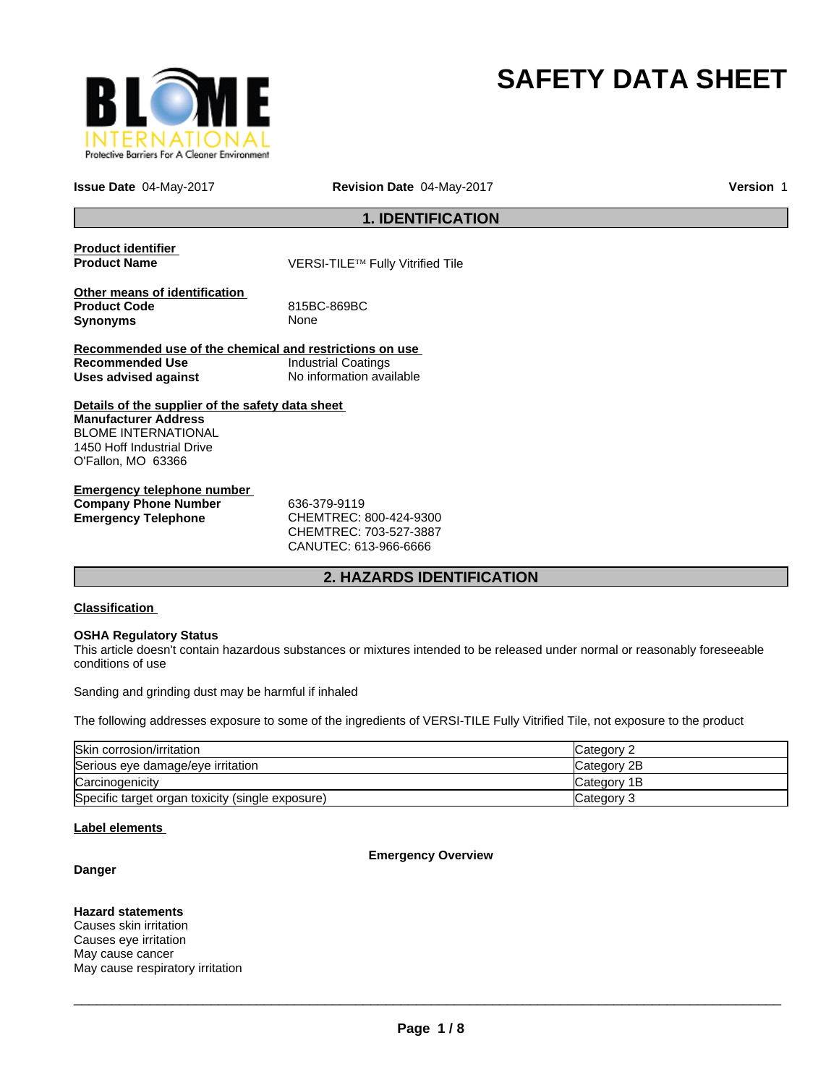

# **SAFETY DATA SHEET**

**Issue Date** 04-May-2017

**Revision Date** 04-May-2017 **Version** 1

# **1. IDENTIFICATION**

| <b>Product identifier</b><br><b>Product Name</b>                        | VERSI-TILE™ Fully Vitrified Tile |
|-------------------------------------------------------------------------|----------------------------------|
| Other means of identification<br><b>Product Code</b><br><b>Synonyms</b> | 815BC-869BC<br>None              |
| Recommended use of the chemical and restrictions on use                 |                                  |
| <b>Recommended Use</b>                                                  | <b>Industrial Coatings</b>       |
| Uses advised against                                                    | No information available         |
| Details of the supplier of the safety data sheet                        |                                  |
| <b>Manufacturer Address</b>                                             |                                  |
| <b>BLOME INTERNATIONAL</b>                                              |                                  |
| 1450 Hoff Industrial Drive                                              |                                  |
| O'Fallon, MO 63366                                                      |                                  |
| <b>Emergency telephone number</b>                                       |                                  |
| <b>Company Phone Number</b>                                             | 636-379-9119                     |

**Emergency Telephone** CHEMTREC: 800-424-9300

CHEMTREC: 703-527-3887 CANUTEC: 613-966-6666

# **2. HAZARDS IDENTIFICATION**

## **Classification**

## **OSHA Regulatory Status**

This article doesn't contain hazardous substances or mixtures intended to be released under normal or reasonably foreseeable conditions of use

Sanding and grinding dust may be harmful if inhaled

The following addresses exposure to some of the ingredients of VERSI-TILE Fully Vitrified Tile, not exposure to the product

| Skin corrosion/irritation                        | Category 2  |
|--------------------------------------------------|-------------|
| Serious eye damage/eye irritation                | Category 2B |
| Carcinogenicity                                  | Category 1B |
| Specific target organ toxicity (single exposure) | Category 3  |

## **Label elements**

## **Emergency Overview**

## **Danger**

## **Hazard statements**

Causes skin irritation Causes eye irritation May cause cancer May cause respiratory irritation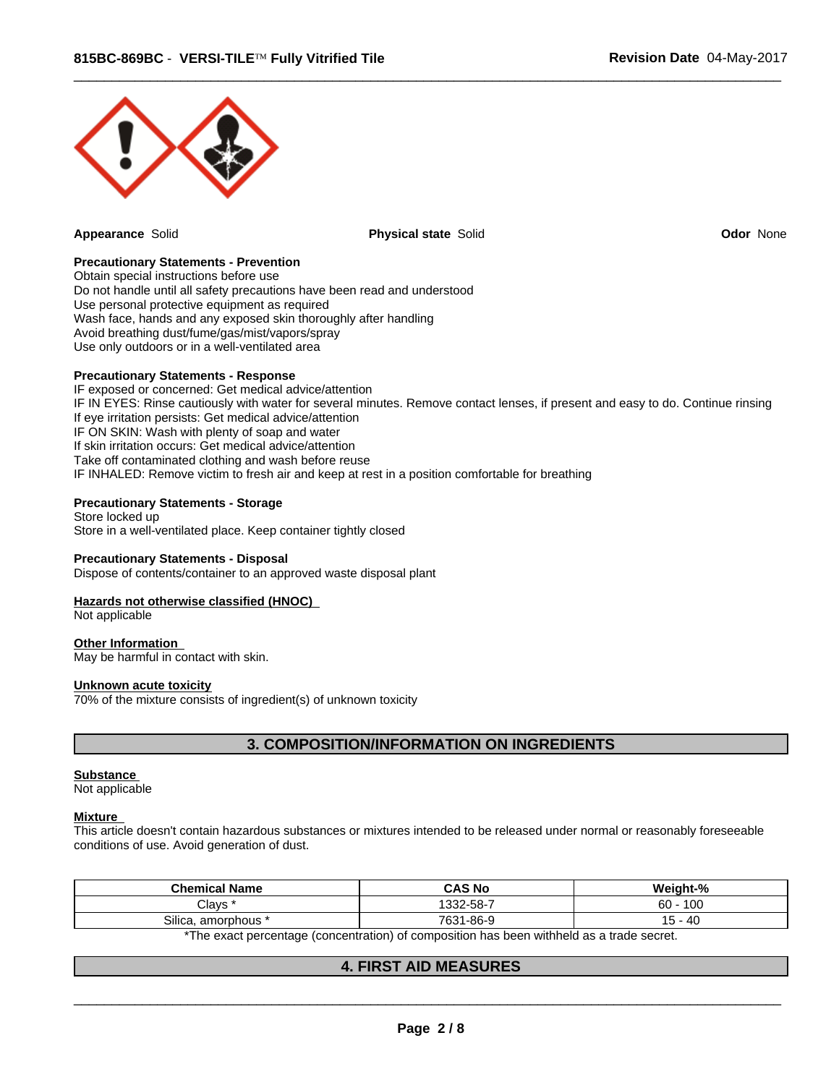

**Appearance** Solid **Physical state** Solid **Odor** None

 $\overline{\phantom{a}}$  ,  $\overline{\phantom{a}}$  ,  $\overline{\phantom{a}}$  ,  $\overline{\phantom{a}}$  ,  $\overline{\phantom{a}}$  ,  $\overline{\phantom{a}}$  ,  $\overline{\phantom{a}}$  ,  $\overline{\phantom{a}}$  ,  $\overline{\phantom{a}}$  ,  $\overline{\phantom{a}}$  ,  $\overline{\phantom{a}}$  ,  $\overline{\phantom{a}}$  ,  $\overline{\phantom{a}}$  ,  $\overline{\phantom{a}}$  ,  $\overline{\phantom{a}}$  ,  $\overline{\phantom{a}}$ 

## **Precautionary Statements - Prevention**

Obtain special instructions before use Do not handle until all safety precautions have been read and understood Use personal protective equipment as required Wash face, hands and any exposed skin thoroughly after handling Avoid breathing dust/fume/gas/mist/vapors/spray Use only outdoors or in a well-ventilated area

#### **Precautionary Statements - Response**

IF exposed or concerned: Get medical advice/attention IF IN EYES: Rinse cautiously with water for several minutes. Remove contact lenses, if present and easy to do. Continue rinsing If eye irritation persists: Get medical advice/attention IF ON SKIN: Wash with plenty of soap and water If skin irritation occurs: Get medical advice/attention Take off contaminated clothing and wash before reuse IF INHALED: Remove victim to fresh air and keep at rest in a position comfortable for breathing

# **Precautionary Statements - Storage**

Store locked up Store in a well-ventilated place. Keep container tightly closed

#### **Precautionary Statements - Disposal**

Dispose of contents/container to an approved waste disposal plant

#### **Hazards not otherwise classified (HNOC)**

Not applicable

#### **Other Information**

May be harmful in contact with skin.

#### **Unknown acute toxicity**

70% of the mixture consists of ingredient(s) of unknown toxicity

## **3. COMPOSITION/INFORMATION ON INGREDIENTS**

#### **Substance**

Not applicable

#### **Mixture**

This article doesn't contain hazardous substances or mixtures intended to be released under normal or reasonably foreseeable conditions of use. Avoid generation of dust.

| 100<br>1332-58-7<br>60<br>Clavs<br>Silica<br>. 1-86-9<br>40<br>7631<br>. amorphous <sup>:</sup><br>ີ | <b>Chemical Name</b> | <b>CAS No</b> | .<br>Weinht-% |
|------------------------------------------------------------------------------------------------------|----------------------|---------------|---------------|
|                                                                                                      |                      |               |               |
|                                                                                                      |                      |               |               |

\*The exact percentage (concentration) of composition has been withheld as a trade secret.

## **4. FIRST AID MEASURES**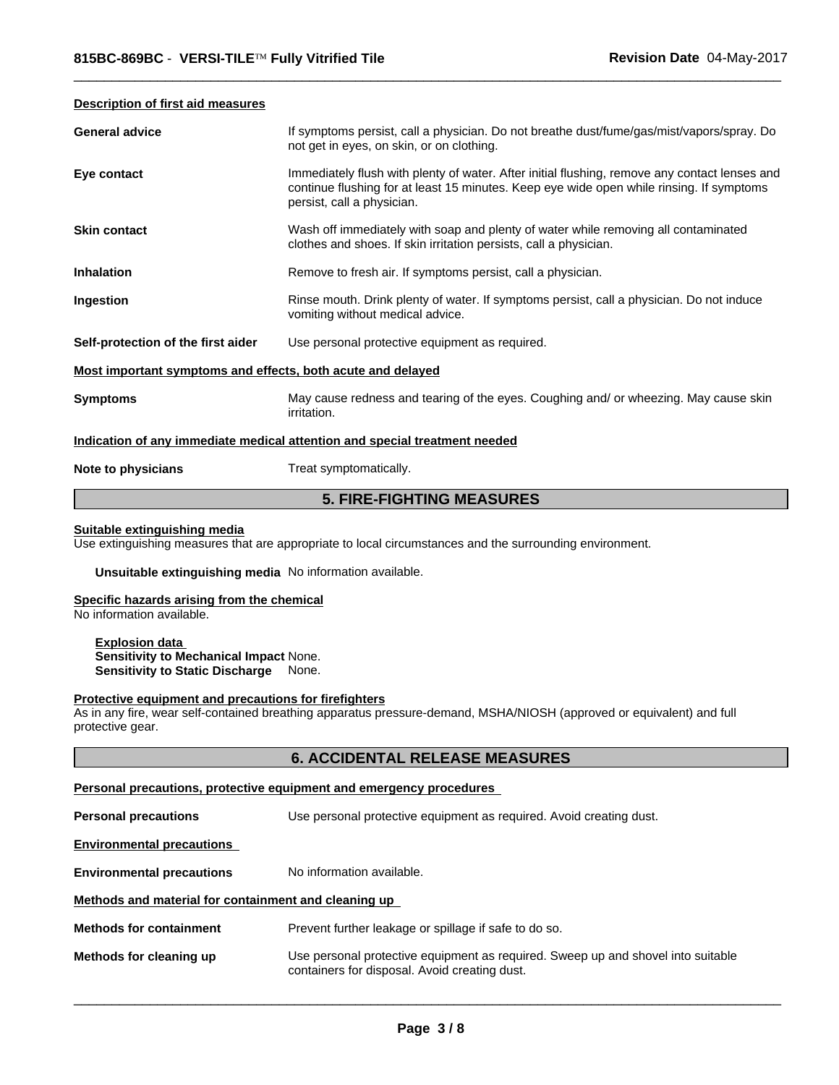#### **Description of first aid measures**

| <b>General advice</b>                                       | If symptoms persist, call a physician. Do not breathe dust/fume/gas/mist/vapors/spray. Do<br>not get in eyes, on skin, or on clothing.                                                                                  |
|-------------------------------------------------------------|-------------------------------------------------------------------------------------------------------------------------------------------------------------------------------------------------------------------------|
| Eye contact                                                 | Immediately flush with plenty of water. After initial flushing, remove any contact lenses and<br>continue flushing for at least 15 minutes. Keep eye wide open while rinsing. If symptoms<br>persist, call a physician. |
| <b>Skin contact</b>                                         | Wash off immediately with soap and plenty of water while removing all contaminated<br>clothes and shoes. If skin irritation persists, call a physician.                                                                 |
| <b>Inhalation</b>                                           | Remove to fresh air. If symptoms persist, call a physician.                                                                                                                                                             |
| Ingestion                                                   | Rinse mouth. Drink plenty of water. If symptoms persist, call a physician. Do not induce<br>vomiting without medical advice.                                                                                            |
| Self-protection of the first aider                          | Use personal protective equipment as required.                                                                                                                                                                          |
| Most important symptoms and effects, both acute and delayed |                                                                                                                                                                                                                         |
| <b>Symptoms</b>                                             | May cause redness and tearing of the eyes. Coughing and/ or wheezing. May cause skin<br>irritation.                                                                                                                     |
|                                                             | Indication of any immediate medical attention and special treatment needed                                                                                                                                              |
| Note to physicians                                          | Treat symptomatically.                                                                                                                                                                                                  |

 $\overline{\phantom{a}}$  ,  $\overline{\phantom{a}}$  ,  $\overline{\phantom{a}}$  ,  $\overline{\phantom{a}}$  ,  $\overline{\phantom{a}}$  ,  $\overline{\phantom{a}}$  ,  $\overline{\phantom{a}}$  ,  $\overline{\phantom{a}}$  ,  $\overline{\phantom{a}}$  ,  $\overline{\phantom{a}}$  ,  $\overline{\phantom{a}}$  ,  $\overline{\phantom{a}}$  ,  $\overline{\phantom{a}}$  ,  $\overline{\phantom{a}}$  ,  $\overline{\phantom{a}}$  ,  $\overline{\phantom{a}}$ 

# **5. FIRE-FIGHTING MEASURES**

#### **Suitable extinguishing media**

Use extinguishing measures that are appropriate to local circumstances and the surrounding environment.

**Unsuitable extinguishing media** No information available.

#### **Specific hazards arising from the chemical**

No information available.

**Explosion data Sensitivity to Mechanical Impact** None. **Sensitivity to Static Discharge** None.

#### **Protective equipment and precautions for firefighters**

As in any fire, wear self-contained breathing apparatus pressure-demand, MSHA/NIOSH (approved or equivalent) and full protective gear.

## **6. ACCIDENTAL RELEASE MEASURES**

#### **Personal precautions, protective equipment and emergency procedures**

**Personal precautions** Use personal protective equipment as required. Avoid creating dust. **Environmental precautions Environmental precautions** No information available. **Methods and material for containment and cleaning up Methods for containment** Prevent further leakage or spillage if safe to do so.

| Methods for cleaning up | Use personal protective equipment as required. Sweep up and shovel into suitable |
|-------------------------|----------------------------------------------------------------------------------|
|                         | containers for disposal. Avoid creating dust.                                    |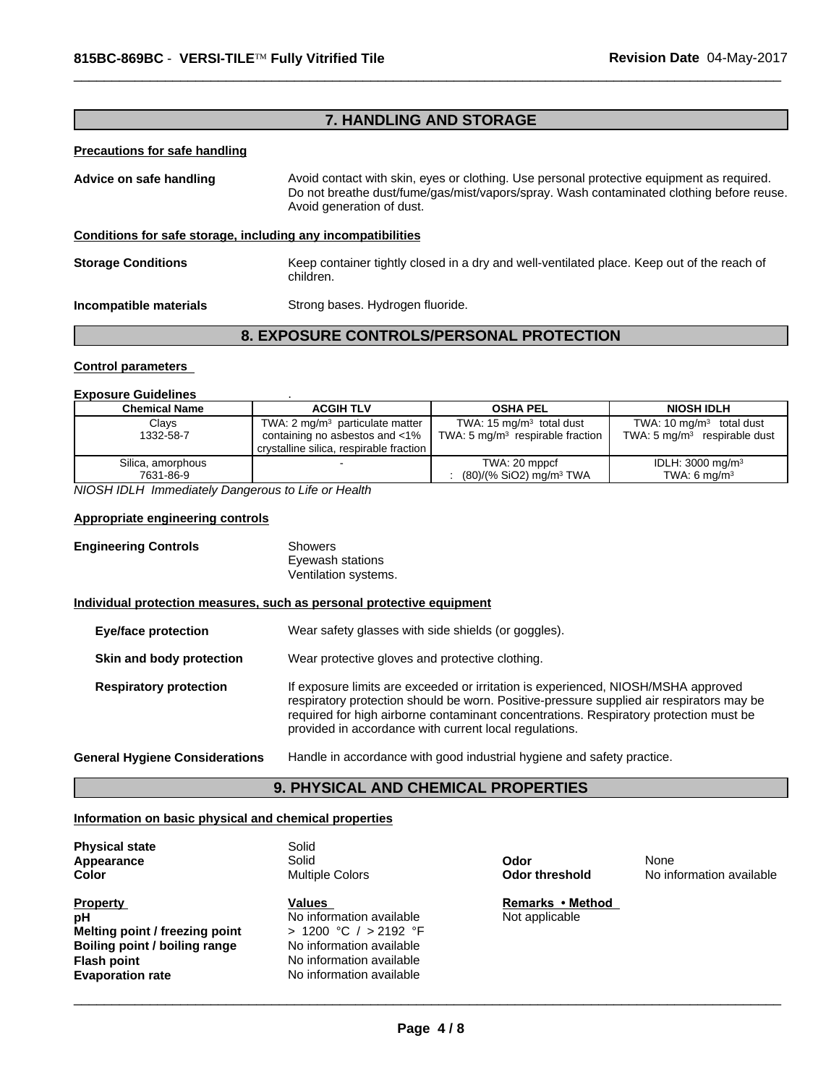# **7. HANDLING AND STORAGE**

 $\overline{\phantom{a}}$  ,  $\overline{\phantom{a}}$  ,  $\overline{\phantom{a}}$  ,  $\overline{\phantom{a}}$  ,  $\overline{\phantom{a}}$  ,  $\overline{\phantom{a}}$  ,  $\overline{\phantom{a}}$  ,  $\overline{\phantom{a}}$  ,  $\overline{\phantom{a}}$  ,  $\overline{\phantom{a}}$  ,  $\overline{\phantom{a}}$  ,  $\overline{\phantom{a}}$  ,  $\overline{\phantom{a}}$  ,  $\overline{\phantom{a}}$  ,  $\overline{\phantom{a}}$  ,  $\overline{\phantom{a}}$ 

#### **Precautions for safe handling**

| Advice on safe handling                                      | Avoid contact with skin, eyes or clothing. Use personal protective equipment as required.<br>Do not breathe dust/fume/gas/mist/vapors/spray. Wash contaminated clothing before reuse.<br>Avoid generation of dust. |
|--------------------------------------------------------------|--------------------------------------------------------------------------------------------------------------------------------------------------------------------------------------------------------------------|
| Conditions for safe storage, including any incompatibilities |                                                                                                                                                                                                                    |
| <b>Storage Conditions</b>                                    | Keep container tightly closed in a dry and well-ventilated place. Keep out of the reach of<br>children.                                                                                                            |
| Incompatible materials                                       | Strong bases. Hydrogen fluoride.                                                                                                                                                                                   |

# **8. EXPOSURE CONTROLS/PERSONAL PROTECTION**

#### **Control parameters**

#### **Exposure Guidelines** .

| <b>Chemical Name</b> | <b>ACGIH TLV</b>                            | <b>OSHA PEL</b>                     | <b>NIOSH IDLH</b>                       |
|----------------------|---------------------------------------------|-------------------------------------|-----------------------------------------|
| Clays                | TWA: 2 mg/m <sup>3</sup> particulate matter | TWA: $15 \text{ mg/m}^3$ total dust | TWA: 10 $mq/m3$ total dust              |
| 1332-58-7            | containing no asbestos and $\lt 1\%$        | TWA: 5 $mq/m3$ respirable fraction  | TWA: $5 \text{ mg/m}^3$ respirable dust |
| Silica, amorphous    | crystalline silica, respirable fraction     | TWA: 20 mppcf                       | IDLH: $3000 \text{ mg/m}^3$             |
| 7631-86-9            |                                             | (80)/(% SiO2) mg/m <sup>3</sup> TWA | TWA: $6 \text{ mg/m}^3$                 |

*NIOSH IDLH Immediately Dangerous to Life or Health*

## **Appropriate engineering controls**

| <b>Engineering Controls</b> | Showers              |
|-----------------------------|----------------------|
|                             | Eyewash stations     |
|                             | Ventilation systems. |

## **Individual protection measures, such as personal protective equipment**

| <b>Eye/face protection</b>            | Wear safety glasses with side shields (or goggles).                                                                                                                                                                                                                                                                              |
|---------------------------------------|----------------------------------------------------------------------------------------------------------------------------------------------------------------------------------------------------------------------------------------------------------------------------------------------------------------------------------|
| Skin and body protection              | Wear protective gloves and protective clothing.                                                                                                                                                                                                                                                                                  |
| <b>Respiratory protection</b>         | If exposure limits are exceeded or irritation is experienced, NIOSH/MSHA approved<br>respiratory protection should be worn. Positive-pressure supplied air respirators may be<br>required for high airborne contaminant concentrations. Respiratory protection must be<br>provided in accordance with current local regulations. |
| <b>General Hygiene Considerations</b> | Handle in accordance with good industrial hygiene and safety practice.                                                                                                                                                                                                                                                           |

## **9. PHYSICAL AND CHEMICAL PROPERTIES**

## **Information on basic physical and chemical properties**

| <b>Physical state</b>          | Solid                    |                       |             |
|--------------------------------|--------------------------|-----------------------|-------------|
| Appearance                     | Solid                    | Odor                  | None        |
| Color                          | <b>Multiple Colors</b>   | <b>Odor threshold</b> | No informat |
| <b>Property</b>                | <b>Values</b>            | Remarks • Method      |             |
| pН                             | No information available | Not applicable        |             |
| Melting point / freezing point | > 1200 °C / > 2192 °F    |                       |             |
| Boiling point / boiling range  | No information available |                       |             |
| Flash point                    | No information available |                       |             |
| <b>Evaporation rate</b>        | No information available |                       |             |
|                                |                          |                       |             |

**Odor threshold** No information available None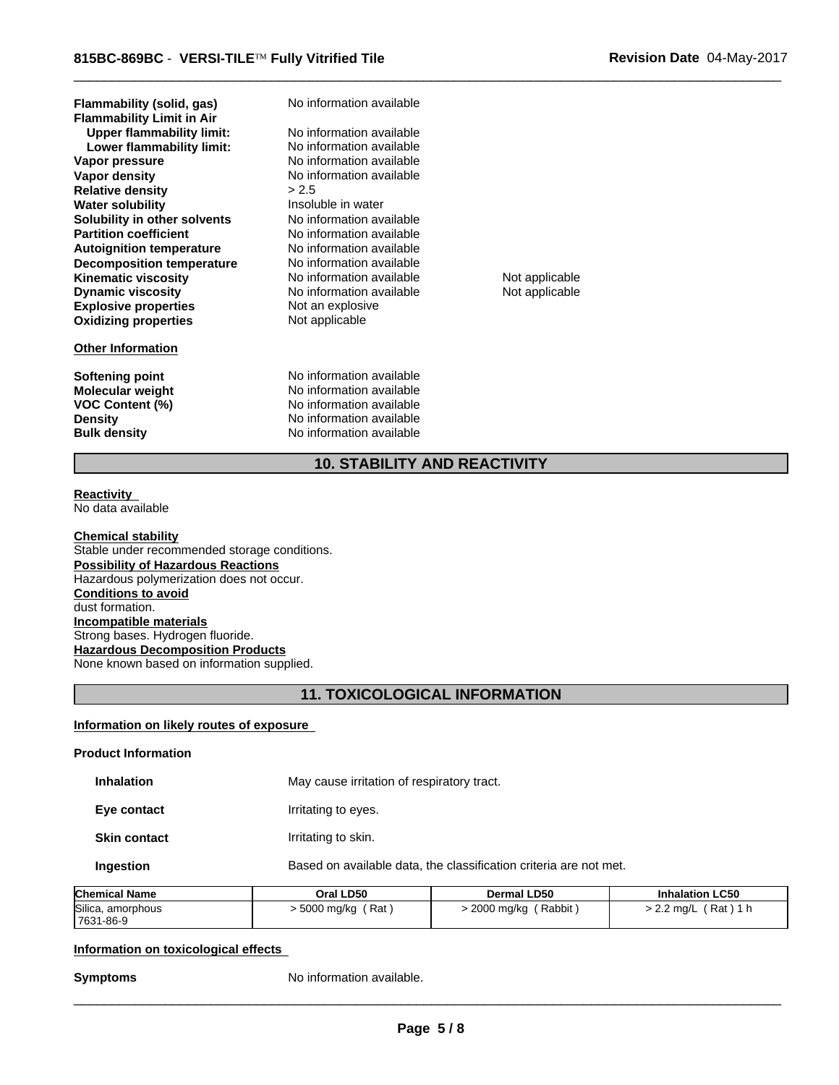**Explosive properties** Not an explosive **Oxidizing properties** Not applicable **Partition coefficient No information available**<br> **Autoignition temperature No information available Autoignition temperature No information available**<br> **Decomposition temperature No information available Decomposition temperature Lower flammability limit:** No information available **Kinematic viscosity** No information available Not applicable **Dynamic viscosity** No information available Not applicable **Vapor pressure** The Section of No information available<br> **Vapor density** No information available **Flammability Limit in Air Relative density**  $\geq 2.5$ <br> **Water solubility National System** Insoluble in water **Water solubility Flammability (solid, gas) Upper flammability limit: Solubility in other solvents** No information available

#### **Other Information**

**Bulk density** No information available

**No information available** No information available

No information available

**Softening point** No information available **Molecular weight** No information available **VOC Content (%)** No information available **Density** No information available

 $\overline{\phantom{a}}$  ,  $\overline{\phantom{a}}$  ,  $\overline{\phantom{a}}$  ,  $\overline{\phantom{a}}$  ,  $\overline{\phantom{a}}$  ,  $\overline{\phantom{a}}$  ,  $\overline{\phantom{a}}$  ,  $\overline{\phantom{a}}$  ,  $\overline{\phantom{a}}$  ,  $\overline{\phantom{a}}$  ,  $\overline{\phantom{a}}$  ,  $\overline{\phantom{a}}$  ,  $\overline{\phantom{a}}$  ,  $\overline{\phantom{a}}$  ,  $\overline{\phantom{a}}$  ,  $\overline{\phantom{a}}$ 

# **10. STABILITY AND REACTIVITY**

**Reactivity**  No data available

#### **Chemical stability**

Stable under recommended storage conditions. **Possibility of Hazardous Reactions** Hazardous polymerization does not occur. **Conditions to avoid** dust formation. **Incompatible materials** Strong bases. Hydrogen fluoride. **Hazardous Decomposition Products** None known based on information supplied.

## **11. TOXICOLOGICAL INFORMATION**

#### **Information on likely routes of exposure**

| Chamisal Name              | $O1 + O2$                                  | <b>DARMALL DEA</b>                                                | بملميا وبا |
|----------------------------|--------------------------------------------|-------------------------------------------------------------------|------------|
| Ingestion                  |                                            | Based on available data, the classification criteria are not met. |            |
| <b>Skin contact</b>        | Irritating to skin.                        |                                                                   |            |
| Eye contact                | Irritating to eyes.                        |                                                                   |            |
| <b>Inhalation</b>          | May cause irritation of respiratory tract. |                                                                   |            |
| <b>Product Information</b> |                                            |                                                                   |            |

| Chemical Name     | Oral LD50    | <b>Dermal LD50</b> | <b>Inhalation LC50</b> |
|-------------------|--------------|--------------------|------------------------|
| Silica, amorphous | Rat          | Rabbit             | Rat <sup>'</sup>       |
| 7631-86-9         | ∙ 5000 mg/kg | 2000 mg/kg         | . 2.2 ma/L             |

## **Information on toxicological effects**

**Symptoms** No information available.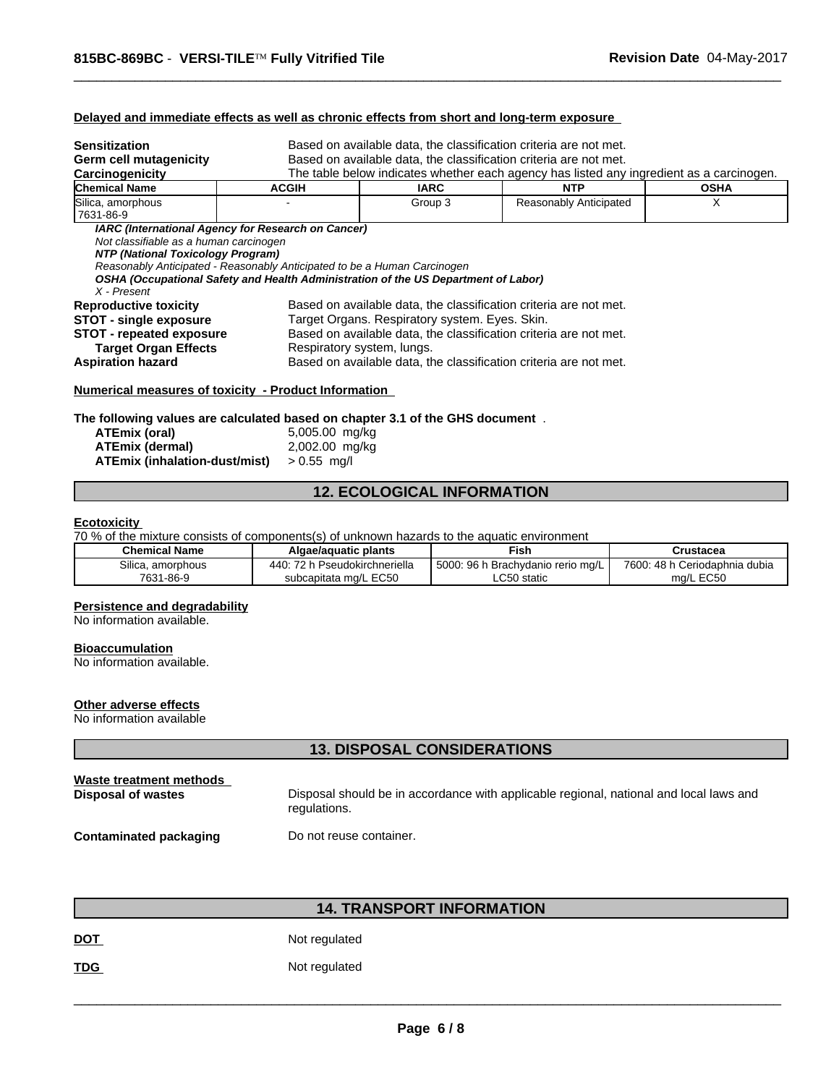## **Delayed and immediate effects as well as chronic effects from short and long-term exposure**

| Sensitization<br>Germ cell mutagenicity<br>Carcinogenicity                                                                      | Based on available data, the classification criteria are not met.<br>Based on available data, the classification criteria are not met.<br>The table below indicates whether each agency has listed any ingredient as a carcinogen. |                                                                                                                                                                                                                        |                                                                   |             |
|---------------------------------------------------------------------------------------------------------------------------------|------------------------------------------------------------------------------------------------------------------------------------------------------------------------------------------------------------------------------------|------------------------------------------------------------------------------------------------------------------------------------------------------------------------------------------------------------------------|-------------------------------------------------------------------|-------------|
| Chemical Name                                                                                                                   | <b>ACGIH</b>                                                                                                                                                                                                                       | IARC                                                                                                                                                                                                                   | <b>NTP</b>                                                        | <b>OSHA</b> |
| Silica, amorphous<br>7631-86-9                                                                                                  |                                                                                                                                                                                                                                    | Group 3                                                                                                                                                                                                                | Reasonably Anticipated                                            | X           |
| Not classifiable as a human carcinogen<br>NTP (National Toxicology Program)<br>X - Present                                      | Reasonably Anticipated - Reasonably Anticipated to be a Human Carcinogen<br>OSHA (Occupational Safety and Health Administration of the US Department of Labor)                                                                     |                                                                                                                                                                                                                        |                                                                   |             |
| <b>Reproductive toxicity</b><br><b>STOT - single exposure</b><br><b>STOT - repeated exposure</b><br><b>Target Organ Effects</b> |                                                                                                                                                                                                                                    | Based on available data, the classification criteria are not met.<br>Target Organs. Respiratory system. Eyes. Skin.<br>Based on available data, the classification criteria are not met.<br>Respiratory system, lungs. |                                                                   |             |
| Aspiration hazard                                                                                                               |                                                                                                                                                                                                                                    |                                                                                                                                                                                                                        | Based on available data, the classification criteria are not met. |             |
| Numerical measures of toxicity - Product Information                                                                            |                                                                                                                                                                                                                                    |                                                                                                                                                                                                                        |                                                                   |             |

 $\overline{\phantom{a}}$  ,  $\overline{\phantom{a}}$  ,  $\overline{\phantom{a}}$  ,  $\overline{\phantom{a}}$  ,  $\overline{\phantom{a}}$  ,  $\overline{\phantom{a}}$  ,  $\overline{\phantom{a}}$  ,  $\overline{\phantom{a}}$  ,  $\overline{\phantom{a}}$  ,  $\overline{\phantom{a}}$  ,  $\overline{\phantom{a}}$  ,  $\overline{\phantom{a}}$  ,  $\overline{\phantom{a}}$  ,  $\overline{\phantom{a}}$  ,  $\overline{\phantom{a}}$  ,  $\overline{\phantom{a}}$ 

**The following values are calculated based on chapter 3.1 of the GHS document** .

| ATEmix (oral)                 | 5,005.00 mg/kg |
|-------------------------------|----------------|
| ATEmix (dermal)               | 2,002.00 mg/kg |
| ATEmix (inhalation-dust/mist) | $> 0.55$ mg/l  |

# **12. ECOLOGICAL INFORMATION**

#### **Ecotoxicity**

70 % of the mixture consists of components(s) of unknown hazards to the aquatic environment

| <b>Chemical Name</b>                        | Algae/aguatic plants                                                                         | Fish                                                          | Crustacea                                            |
|---------------------------------------------|----------------------------------------------------------------------------------------------|---------------------------------------------------------------|------------------------------------------------------|
| <b></b><br>. amorphous<br>⊪ca.<br>7631-86-9 | $\overline{\phantom{a}}$<br>440 <sup>-</sup><br>Pseudokirchneriella<br>subcapitata mg/L EC50 | 5000:<br>96<br>n Brachvdanio rerio mɑ/L<br>.C50 static<br>-00 | 7600: 48 h<br>Ceriodaphnia dubia<br>$L$ EC50<br>ma/L |

#### **Persistence and degradability**

No information available.

## **Bioaccumulation**

No information available.

## **Other adverse effects**

No information available

## **13. DISPOSAL CONSIDERATIONS**

| Waste treatment methods       | Disposal should be in accordance with applicable regional, national and local laws and |
|-------------------------------|----------------------------------------------------------------------------------------|
| Disposal of wastes            | regulations.                                                                           |
| <b>Contaminated packaging</b> | Do not reuse container.                                                                |

# **14. TRANSPORT INFORMATION**

**DOT** Not regulated

TDG **Not regulated**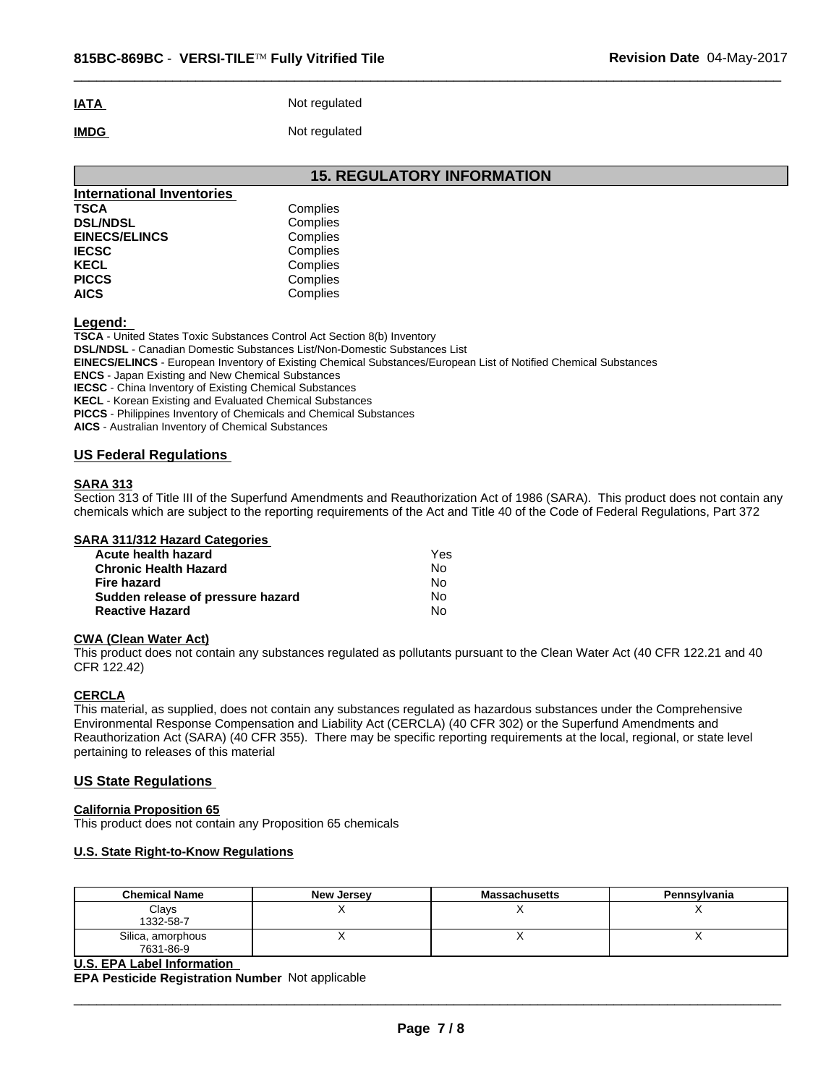# **IATA** Not regulated **IMDG** Not regulated

**15. REGULATORY INFORMATION**

 $\overline{\phantom{a}}$  ,  $\overline{\phantom{a}}$  ,  $\overline{\phantom{a}}$  ,  $\overline{\phantom{a}}$  ,  $\overline{\phantom{a}}$  ,  $\overline{\phantom{a}}$  ,  $\overline{\phantom{a}}$  ,  $\overline{\phantom{a}}$  ,  $\overline{\phantom{a}}$  ,  $\overline{\phantom{a}}$  ,  $\overline{\phantom{a}}$  ,  $\overline{\phantom{a}}$  ,  $\overline{\phantom{a}}$  ,  $\overline{\phantom{a}}$  ,  $\overline{\phantom{a}}$  ,  $\overline{\phantom{a}}$ 

| International Inventories |          |  |
|---------------------------|----------|--|
| <b>TSCA</b>               | Complies |  |
| <b>DSL/NDSL</b>           | Complies |  |
| <b>EINECS/ELINCS</b>      | Complies |  |
| <b>IECSC</b>              | Complies |  |
| <b>KECL</b>               | Complies |  |
| <b>PICCS</b>              | Complies |  |
| <b>AICS</b>               | Complies |  |

**Legend:** 

**TSCA** - United States Toxic Substances Control Act Section 8(b) Inventory

**DSL/NDSL** - Canadian Domestic Substances List/Non-Domestic Substances List

**EINECS/ELINCS** - European Inventory of Existing Chemical Substances/European List of Notified Chemical Substances

**ENCS** - Japan Existing and New Chemical Substances

**IECSC** - China Inventory of Existing Chemical Substances

**KECL** - Korean Existing and Evaluated Chemical Substances

**PICCS** - Philippines Inventory of Chemicals and Chemical Substances

**AICS** - Australian Inventory of Chemical Substances

## **US Federal Regulations**

## **SARA 313**

Section 313 of Title III of the Superfund Amendments and Reauthorization Act of 1986 (SARA). This product does not contain any chemicals which are subject to the reporting requirements of the Act and Title 40 of the Code of Federal Regulations, Part 372

#### **SARA 311/312 Hazard Categories**

| Acute health hazard               | Yes |
|-----------------------------------|-----|
| <b>Chronic Health Hazard</b>      | Nο  |
| Fire hazard                       | N٥  |
| Sudden release of pressure hazard | No. |
| <b>Reactive Hazard</b>            | No  |

#### **CWA (Clean Water Act)**

This product does not contain any substances regulated as pollutants pursuant to the Clean Water Act (40 CFR 122.21 and 40 CFR 122.42)

## **CERCLA**

This material, as supplied, does not contain any substances regulated as hazardous substances under the Comprehensive Environmental Response Compensation and Liability Act (CERCLA) (40 CFR 302) or the Superfund Amendments and Reauthorization Act (SARA) (40 CFR 355). There may be specific reporting requirements at the local, regional, or state level pertaining to releases of this material

## **US State Regulations**

## **California Proposition 65**

This product does not contain any Proposition 65 chemicals

## **U.S. State Right-to-Know Regulations**

| <b>Chemical Name</b>           | <b>New Jersey</b> | <b>Massachusetts</b> | Pennsylvania |
|--------------------------------|-------------------|----------------------|--------------|
| Clays<br>1332-58-7             |                   |                      |              |
| Silica, amorphous<br>7631-86-9 |                   |                      |              |

#### **U.S. EPA Label Information**

**EPA Pesticide Registration Number** Not applicable